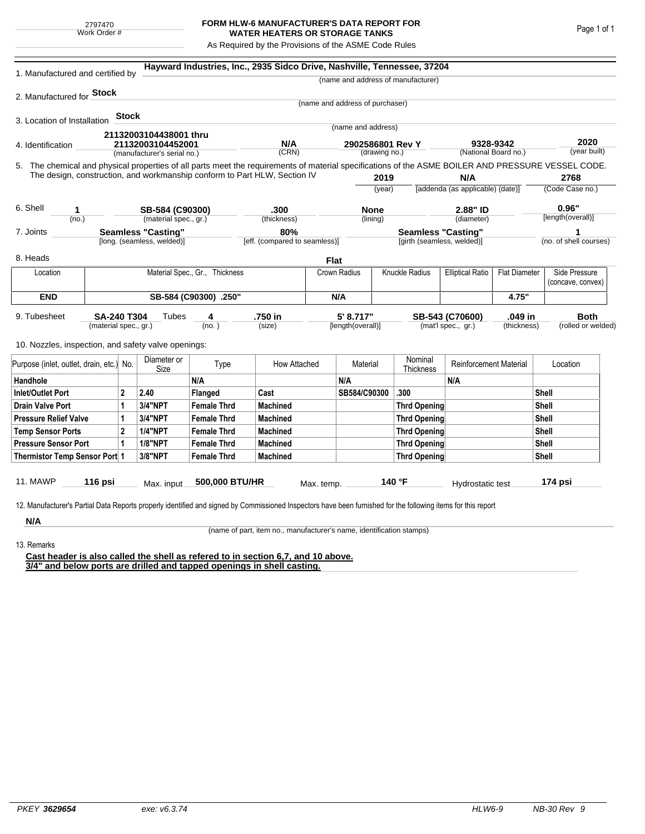2797470 Work Order #

## **FORM HLW-6 MANUFACTURER'S DATA REPORT FOR WATER HEATERS OR STORAGE TANKS**

As Required by the Provisions of the ASME Code Rules

| 1. Manufactured and certified by                                                                                                                                                  |                           |         |                            |                                | Hayward Industries, Inc., 2935 Sidco Drive, Nashville, Tennessee, 37204 |            |                                 |                                         |                                           |                               |                      |                      |                        |  |
|-----------------------------------------------------------------------------------------------------------------------------------------------------------------------------------|---------------------------|---------|----------------------------|--------------------------------|-------------------------------------------------------------------------|------------|---------------------------------|-----------------------------------------|-------------------------------------------|-------------------------------|----------------------|----------------------|------------------------|--|
|                                                                                                                                                                                   |                           |         |                            |                                |                                                                         |            |                                 |                                         | (name and address of manufacturer)        |                               |                      |                      |                        |  |
| 2. Manufactured for <b>Stock</b>                                                                                                                                                  |                           |         |                            |                                |                                                                         |            |                                 |                                         |                                           |                               |                      |                      |                        |  |
|                                                                                                                                                                                   |                           |         |                            |                                |                                                                         |            | (name and address of purchaser) |                                         |                                           |                               |                      |                      |                        |  |
| 3. Location of Installation                                                                                                                                                       |                           | Stock   |                            |                                |                                                                         |            |                                 |                                         |                                           |                               |                      |                      |                        |  |
|                                                                                                                                                                                   |                           |         | 21132003104438001 thru     |                                |                                                                         |            | (name and address)              |                                         |                                           |                               |                      |                      |                        |  |
| 4. Identification                                                                                                                                                                 |                           |         | 21132003104452001          |                                | N/A                                                                     |            | 2902586801 Rev Y                |                                         |                                           | 9328-9342                     |                      | 2020<br>(year built) |                        |  |
| (manufacturer's serial no.)<br>5. The chemical and physical properties of all parts meet the requirements of material specifications of the ASME BOILER AND PRESSURE VESSEL CODE. |                           |         |                            |                                | (CRN)<br>(drawing no.)                                                  |            |                                 | (National Board no.)                    |                                           |                               |                      |                      |                        |  |
| The design, construction, and workmanship conform to Part HLW, Section IV                                                                                                         |                           |         |                            |                                |                                                                         |            |                                 |                                         |                                           |                               |                      |                      |                        |  |
|                                                                                                                                                                                   |                           |         |                            |                                |                                                                         | 2019       |                                 | N/A<br>[addenda (as applicable) (date)] |                                           | 2768<br>(Code Case no.)       |                      |                      |                        |  |
|                                                                                                                                                                                   |                           |         |                            |                                |                                                                         |            |                                 | (year)                                  |                                           |                               |                      |                      |                        |  |
| 6. Shell<br>1                                                                                                                                                                     |                           |         | SB-584 (C90300)            |                                | .300                                                                    |            | <b>None</b>                     |                                         | 2.88" ID                                  |                               | 0.96"                |                      |                        |  |
| (no.)                                                                                                                                                                             |                           |         | (material spec., gr.)      |                                | (thickness)                                                             |            |                                 | (lining)                                |                                           | (diameter)                    |                      |                      | [length(overall)]      |  |
| 7. Joints                                                                                                                                                                         | <b>Seamless "Casting"</b> |         |                            |                                | 80%                                                                     |            |                                 |                                         | <b>Seamless "Casting"</b>                 |                               |                      |                      |                        |  |
|                                                                                                                                                                                   |                           |         | [long. (seamless, welded)] |                                | [eff. (compared to seamless)]                                           |            |                                 |                                         | [girth (seamless, welded)]                |                               |                      |                      | (no. of shell courses) |  |
| 8. Heads                                                                                                                                                                          |                           |         |                            |                                |                                                                         |            | <b>Flat</b>                     |                                         |                                           |                               |                      |                      |                        |  |
| Location                                                                                                                                                                          |                           |         |                            | Material Spec., Gr., Thickness |                                                                         |            | Crown Radius                    |                                         | Knuckle Radius<br><b>Elliptical Ratio</b> |                               | <b>Flat Diameter</b> |                      | Side Pressure          |  |
|                                                                                                                                                                                   |                           |         |                            |                                |                                                                         |            |                                 |                                         |                                           |                               |                      |                      | (concave, convex)      |  |
| <b>END</b>                                                                                                                                                                        | SB-584 (C90300) .250"     |         |                            |                                |                                                                         |            | N/A                             |                                         |                                           |                               | 4.75"                |                      |                        |  |
| 9. Tubesheet<br>SA-240 T304                                                                                                                                                       |                           |         | Tubes                      | 4                              | .750 in                                                                 |            | 5' 8.717"                       |                                         | .049 in<br>SB-543 (C70600)                |                               |                      | <b>Both</b>          |                        |  |
| (material spec., gr.)                                                                                                                                                             |                           |         |                            | (no. )                         | (size)                                                                  |            | [length(overall)]               |                                         | (mat'l spec., gr.)<br>(thickness)         |                               |                      | (rolled or welded)   |                        |  |
| 10. Nozzles, inspection, and safety valve openings:                                                                                                                               |                           |         |                            |                                |                                                                         |            |                                 |                                         |                                           |                               |                      |                      |                        |  |
| Purpose (inlet, outlet, drain, etc.) No.                                                                                                                                          |                           |         | Diameter or<br>Size        | Type                           | How Attached                                                            |            | Material                        |                                         | Nominal<br>Thickness                      | <b>Reinforcement Material</b> |                      | Location             |                        |  |
| Handhole                                                                                                                                                                          |                           |         |                            | N/A                            |                                                                         |            | N/A                             |                                         |                                           | N/A                           |                      |                      |                        |  |
| $\overline{2}$<br><b>Inlet/Outlet Port</b>                                                                                                                                        |                           |         | 2.40                       | Flanged                        | Cast                                                                    |            | SB584/C90300                    |                                         | .300                                      |                               |                      | Shell                |                        |  |
| <b>Drain Valve Port</b><br>1                                                                                                                                                      |                           | 3/4"NPT | <b>Female Thrd</b>         | <b>Machined</b>                |                                                                         |            |                                 | <b>Thrd Opening</b>                     |                                           |                               |                      | Shell                |                        |  |
| <b>Pressure Relief Valve</b><br>1                                                                                                                                                 |                           |         | 3/4"NPT                    | <b>Female Thrd</b>             | <b>Machined</b>                                                         |            |                                 |                                         | Thrd Opening                              |                               | Shell                |                      |                        |  |
| $\overline{2}$<br><b>Temp Sensor Ports</b>                                                                                                                                        |                           |         | <b>1/4"NPT</b>             | <b>Female Thrd</b>             | <b>Machined</b>                                                         |            |                                 | Thrd Opening                            |                                           |                               |                      | Shell                |                        |  |
| <b>Pressure Sensor Port</b><br>1                                                                                                                                                  |                           |         | <b>1/8"NPT</b>             | <b>Female Thrd</b>             | <b>Machined</b>                                                         |            |                                 | Thrd Opening                            |                                           |                               |                      | Shell                |                        |  |
| Thermistor Temp Sensor Port 1                                                                                                                                                     |                           |         | 3/8"NPT                    | <b>Female Thrd</b>             | <b>Machined</b>                                                         |            |                                 | Thrd Opening                            |                                           |                               |                      |                      | Shell                  |  |
| 11. MAWP                                                                                                                                                                          | 116 psi                   |         | Max. input                 | 500,000 BTU/HR                 |                                                                         | Max. temp. |                                 |                                         | 140 °F                                    | Hydrostatic test              |                      |                      | 174 psi                |  |
|                                                                                                                                                                                   |                           |         |                            |                                |                                                                         |            |                                 |                                         |                                           |                               |                      |                      |                        |  |
| 12. Manufacturer's Partial Data Reports properly identified and signed by Commissioned Inspectors have been furnished for the following items for this report                     |                           |         |                            |                                |                                                                         |            |                                 |                                         |                                           |                               |                      |                      |                        |  |
| N/A                                                                                                                                                                               |                           |         |                            |                                |                                                                         |            |                                 |                                         |                                           |                               |                      |                      |                        |  |

(name of part, item no., manufacturer's name, identification stamps)

13. Remarks

**Cast header is also called the shell as refered to in section 6,7, and 10 above. 3/4" and below ports are drilled and tapped openings in shell casting.**